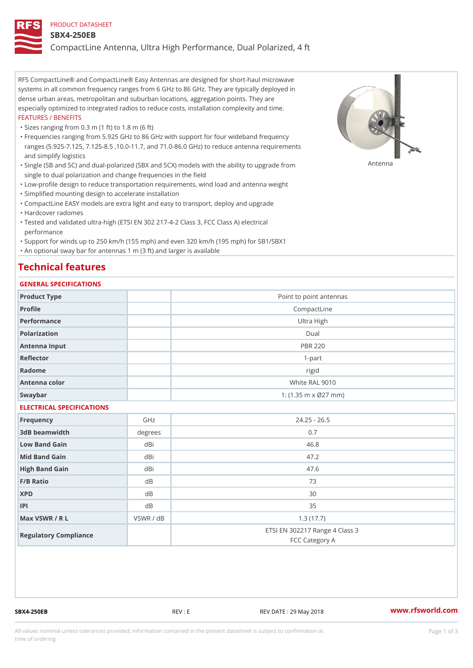#### PRODUCT DATASHEET

#### SBX4-250EB

CompactLine Antenna, Ultra High Performance, Dual Polarized, 4 ft

RFS CompactLine® and CompactLine® Easy Antennas are designed for short-haul microwave systems in all common frequency ranges from 6 GHz to 86 GHz. They are typically deployed in dense urban areas, metropolitan and suburban locations, aggregation points. They are especially optimized to integrated radios to reduce costs, installation complexity and time. FEATURES / BENEFITS

"Sizes ranging from 0.3 m (1 ft) to 1.8 m (6 ft)

Frequencies ranging from 5.925 GHz to 86 GHz with support for four wideband frequency " ranges (5.925-7.125, 7.125-8.5 ,10.0-11.7, and 71.0-86.0 GHz) to reduce antenna requirements and simplify logistics

"Single (SB and SC) and dual-polarized (SBX and SCX) models with the abili $\mathsf{f}_\mathsf{V}^{\eta}$ ttenup $\beta$ grade from single to dual polarization and change frequencies in the field

"Low-profile design to reduce transportation requirements, wind load and antenna weight

"Simplified mounting design to accelerate installation

 "CompactLine EASY models are extra light and easy to transport, deploy and upgrade "Hardcover radomes

Tested and validated ultra-high (ETSI EN 302 217-4-2 Class 3, FCC Class A) electrical " performance

 "Support for winds up to 250 km/h (155 mph) and even 320 km/h (195 mph) for SB1/SBX1 "An optional sway bar for antennas 1 m (3 ft) and larger is available

### Technical features

### GENERAL SPECIFICATIONS

| GENERAL SELGIFICATIONS    |           |                                                  |  |  |  |
|---------------------------|-----------|--------------------------------------------------|--|--|--|
| Product Type              |           | Point to point antennas                          |  |  |  |
| Profile                   |           | CompactLine                                      |  |  |  |
| Performance               |           | Ultra High                                       |  |  |  |
| Polarization              |           | $D$ ual                                          |  |  |  |
| Antenna Input             |           | <b>PBR 220</b>                                   |  |  |  |
| Reflector                 |           | $1-part$                                         |  |  |  |
| Radome                    |           | rigid                                            |  |  |  |
| Antenna color             |           | White RAL 9010                                   |  |  |  |
| Swaybar                   |           | 1: $(1.35 \, m \times 027 \, mm)$                |  |  |  |
| ELECTRICAL SPECIFICATIONS |           |                                                  |  |  |  |
| Frequency                 | GHz       | $24.25 - 26.5$                                   |  |  |  |
| 3dB beamwidth             | degrees   | 0.7                                              |  |  |  |
| Low Band Gain             | dBi       | 46.8                                             |  |  |  |
| Mid Band Gain             | dBi       | 47.2                                             |  |  |  |
| High Band Gain            | dBi       | 47.6                                             |  |  |  |
| F/B Ratio                 | d B       | 73                                               |  |  |  |
| <b>XPD</b>                | d B       | 30                                               |  |  |  |
| P                         | d B       | 35                                               |  |  |  |
| Max VSWR / R L            | VSWR / dB | 1.3(17.7)                                        |  |  |  |
| Regulatory Compliance     |           | ETSI EN 302217 Range 4 Class 3<br>FCC Category A |  |  |  |

SBX4-250EB REV : E REV DATE : 29 May 2018 [www.](https://www.rfsworld.com)rfsworld.com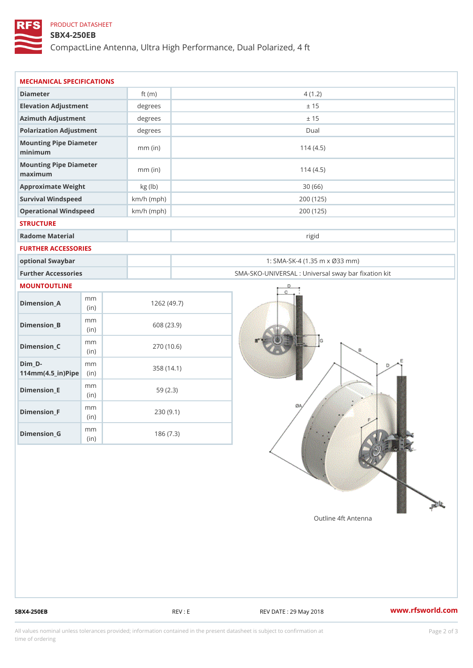## PRODUCT DATASHEET

## SBX4-250EB

CompactLine Antenna, Ultra High Performance, Dual Polarized, 4 ft

| MECHANICAL SPECIFICATIONS                           |              |              |                                                   |  |
|-----------------------------------------------------|--------------|--------------|---------------------------------------------------|--|
| Diameter                                            |              | ft $(m)$     | 4(1.2)                                            |  |
| Elevation Adjustment                                |              | degrees      | ± 15                                              |  |
| Azimuth Adjustment                                  |              | degrees      | ± 15                                              |  |
| Polarization Adjustment                             |              | $degree$ :   | Dual                                              |  |
| Mounting Pipe Diameter<br>minimum                   |              | $mm$ (in)    | 114(4.5)                                          |  |
| Mounting Pipe Diameter<br>maximum                   |              | $mm$ (in)    | 114(4.5)                                          |  |
| Approximate Weight                                  |              | kg (lb)      | 30(66)                                            |  |
| Survival Windspeed                                  |              | $km/h$ (mph) | 200 (125)                                         |  |
| Operational Windspeed                               |              | $km/h$ (mph) | 200 (125)                                         |  |
| <b>STRUCTURE</b>                                    |              |              |                                                   |  |
| Radome Material                                     |              |              | rigid                                             |  |
| FURTHER ACCESSORIES                                 |              |              |                                                   |  |
| optional Swaybar                                    |              |              | 1: SMA-SK-4 (1.35 m x Ø33 mm)                     |  |
| Further Accessories                                 |              |              | SMA-SKO-UNIVERSAL : Universal sway bar fixation l |  |
| MOUNTOUTLINE                                        |              |              |                                                   |  |
| $Dimension_A$                                       | m m<br>(in)  |              | 1262(49.7)                                        |  |
| $Dimension_B$                                       | m m<br>(in)  |              | 608 (23.9)                                        |  |
| $Dimen sion_C$                                      | m m<br>(i n) |              | 270 (10.6)                                        |  |
| $Dim_D -$<br>$114$ m m $(4.5$ _ ir $)$ $R$ ii p $e$ | m m          |              | 358 (14.1)                                        |  |
| $Dimension$ = E                                     | m m<br>(i n) |              | 59(2.3)                                           |  |
| $Dimension_F$                                       | m m<br>(in)  |              | 230(9.1)                                          |  |
| $D$ imension_G                                      | m m<br>(in)  |              | 186(7.3)                                          |  |

SBX4-250EB REV : E REV : REV DATE : 29 May 2018 WWW.rfsworld.com

All values nominal unless tolerances provided; information contained in the present datasheet is subject to Pcapgelio an atio time of ordering